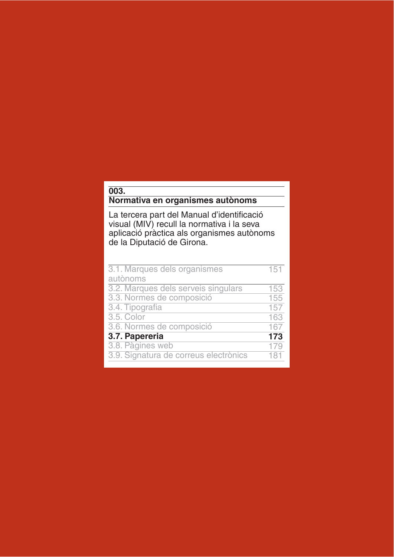## $003.$

## Normativa en organismes autònoms

La tercera part del Manual d'identificació<br>visual (MIV) recull la normativa i la seva aplicació pràctica als organismes autònoms de la Diputació de Girona.

| 3.1. Marques dels organismes          | 151 |
|---------------------------------------|-----|
| autònoms                              |     |
| 3.2. Marques dels serveis singulars   | 153 |
| 3.3. Normes de composició             | 155 |
| 3.4. Tipografia                       | 157 |
| 3.5. Color                            | 163 |
| 3.6. Normes de composició             | 167 |
| 3.7. Papereria                        | 173 |
| 3.8. Pàgines web                      | 179 |
| 3.9. Signatura de correus electrònics | 181 |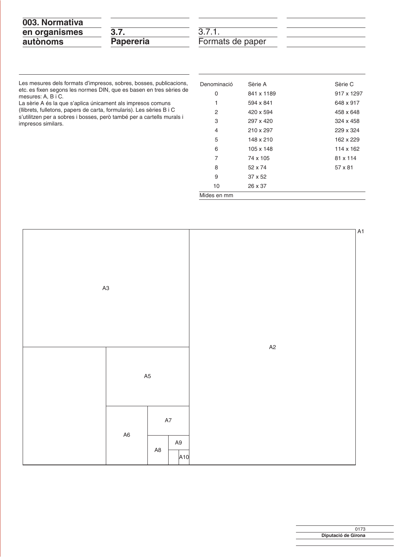| 003. Normativa |  |
|----------------|--|
| en organismes  |  |
| autònoms       |  |

| ٠      |
|--------|
| ٠<br>═ |

3.7.1.<br>Formats de paper

Les mesures dels formats d'impresos, sobres, bosses, publicacions, etc. es fixen segons les normes DIN, que es basen en tres sèries de mesures: A, B i C.

La sèrie A és la que s'aplica únicament als impresos comuns (llibrets, fulletons, papers de carta, formularis). Les sèries B i C s'utilitzen per a sobres i bosses, però també per a cartells murals i<br>impresos similars.

| Denominació | Sèrie A    | Sèrie C    |
|-------------|------------|------------|
| 0           | 841 x 1189 | 917 x 1297 |
| 1           | 594 x 841  | 648 x 917  |
| 2           | 420 x 594  | 458 x 648  |
| 3           | 297 x 420  | 324 x 458  |
| 4           | 210 x 297  | 229 x 324  |
| 5           | 148 x 210  | 162 x 229  |
| 6           | 105 x 148  | 114 x 162  |
| 7           | 74 x 105   | 81 x 114   |
| 8           | 52 x 74    | 57 x 81    |
| 9           | 37 x 52    |            |
| 10          | 26 x 37    |            |
| Mides en mm |            |            |

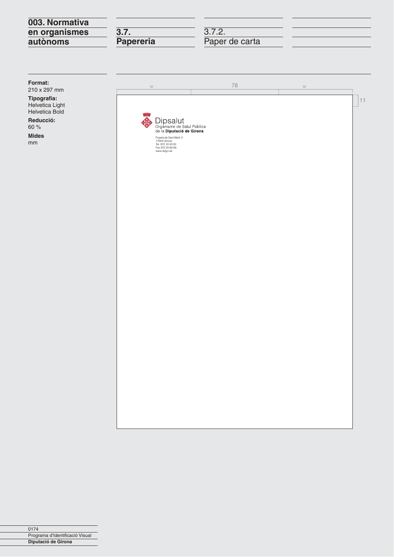## 003. Normativa en organismes autònoms

 $\overline{3.7}$ . Papereria 3.7.2.<br>Paper de carta

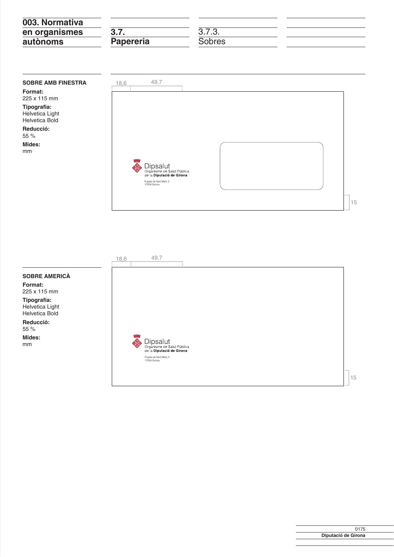| 003. Normativa |                  |                 |  |
|----------------|------------------|-----------------|--|
| en organismes  | 3.7.             | 272<br>J. I .J. |  |
| autònoms       | <b>Papereria</b> | Sobres          |  |

| <b>SOBRE AMB FINESTRA</b>                        |
|--------------------------------------------------|
| Format:                                          |
| $225 \times 115$ mm                              |
| Tipografia:<br>Helvetica Light<br>Helvetica Bold |
| Reducció:<br>55%                                 |
| Mides:                                           |
| mm                                               |
|                                                  |

| ●<br>Dipsalut<br>Organisme de Salut Pública<br>de la <b>Diputació de Girona</b><br>Pujada de Sant Martí, 5<br>17004 Girona |  |
|----------------------------------------------------------------------------------------------------------------------------|--|

| 18,6 | 49,7                                                                                                                       |  |  |
|------|----------------------------------------------------------------------------------------------------------------------------|--|--|
|      |                                                                                                                            |  |  |
|      |                                                                                                                            |  |  |
|      |                                                                                                                            |  |  |
|      |                                                                                                                            |  |  |
|      | ▀<br>Dipsalut<br>Organisme de Salut Pública<br>de la <b>Diputació de Girona</b><br>Pujada de Sant Martí, 5<br>17004 Girona |  |  |
|      |                                                                                                                            |  |  |

**SOBRE AMERICÀ** Format:

225 x 115 mm Tipografia: Helvetica Light<br>Helvetica Bold

Reducció: 55 %

Mides:  $\mathsf{mm}$ 

> 0175 Diputació de Girona

15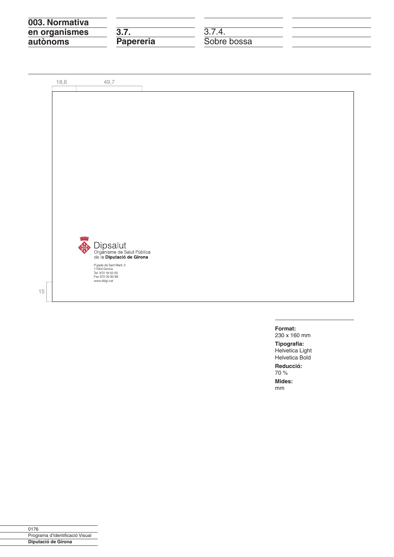| 3.7.             |             |  |
|------------------|-------------|--|
| <b>Papereria</b> | Sobre bossa |  |
|                  |             |  |

![](_page_4_Picture_1.jpeg)

## Format:

230 x 160 mm

Tipografia:<br>Helvetica Light Helvetica Bold

Reducció:

70 %

Mides:  $mm$